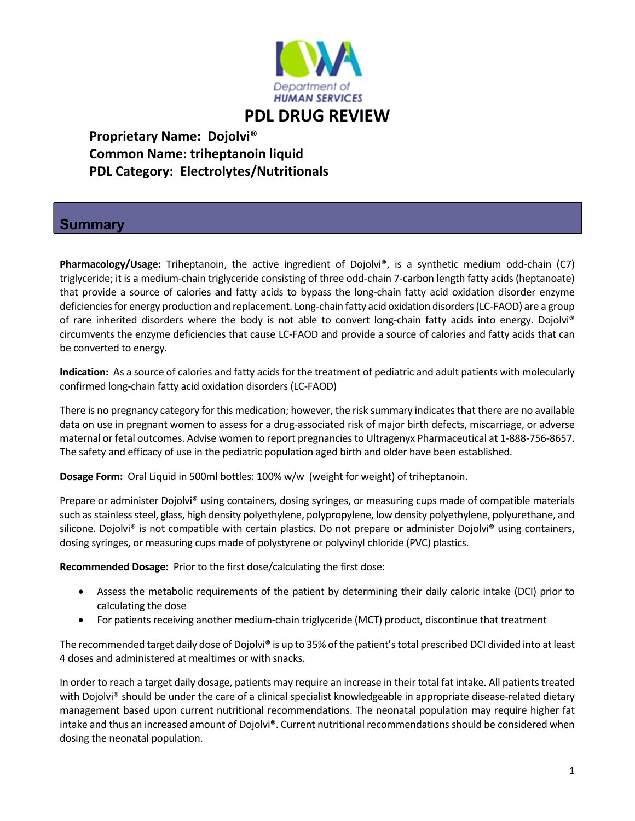

 **Proprietary Name: Dojolvi® Common Name: triheptanoin liquid PDL Category: Electrolytes/Nutritionals** 

## **Summary**

**Pharmacology/Usage:** Triheptanoin, the active ingredient of Dojolvi®, is a synthetic medium odd‐chain (C7) triglyceride; it is a medium‐chain triglyceride consisting of three odd‐chain 7‐carbon length fatty acids (heptanoate) that provide a source of calories and fatty acids to bypass the long‐chain fatty acid oxidation disorder enzyme deficiencies for energy production and replacement. Long-chain fatty acid oxidation disorders (LC-FAOD) are a group of rare inherited disorders where the body is not able to convert long-chain fatty acids into energy. Dojolvi® circumvents the enzyme deficiencies that cause LC‐FAOD and provide a source of calories and fatty acids that can be converted to energy.

**Indication:** As a source of calories and fatty acids for the treatment of pediatric and adult patients with molecularly confirmed long‐chain fatty acid oxidation disorders (LC‐FAOD)

There is no pregnancy category for this medication; however, the risk summary indicates that there are no available data on use in pregnant women to assess for a drug‐associated risk of major birth defects, miscarriage, or adverse maternal or fetal outcomes. Advise women to report pregnancies to Ultragenyx Pharmaceutical at 1-888-756-8657. The safety and efficacy of use in the pediatric population aged birth and older have been established.

**Dosage Form:** Oral Liquid in 500ml bottles: 100% w/w (weight for weight) of triheptanoin.

Prepare or administer Dojolvi® using containers, dosing syringes, or measuring cups made of compatible materials such as stainless steel, glass, high density polyethylene, polypropylene, low density polyethylene, polyurethane, and silicone. Dojolvi® is not compatible with certain plastics. Do not prepare or administer Dojolvi® using containers, dosing syringes, or measuring cups made of polystyrene or polyvinyl chloride (PVC) plastics.

**Recommended Dosage:** Prior to the first dose/calculating the first dose:

- Assess the metabolic requirements of the patient by determining their daily caloric intake (DCI) prior to calculating the dose
- For patients receiving another medium-chain triglyceride (MCT) product, discontinue that treatment

The recommended target daily dose of Dojolvi® is up to 35% of the patient's total prescribed DCI divided into at least 4 doses and administered at mealtimes or with snacks.

In order to reach a target daily dosage, patients may require an increase in their total fat intake. All patients treated with Dojolvi® should be under the care of a clinical specialist knowledgeable in appropriate disease-related dietary management based upon current nutritional recommendations. The neonatal population may require higher fat intake and thus an increased amount of Dojolvi®. Current nutritional recommendations should be considered when dosing the neonatal population.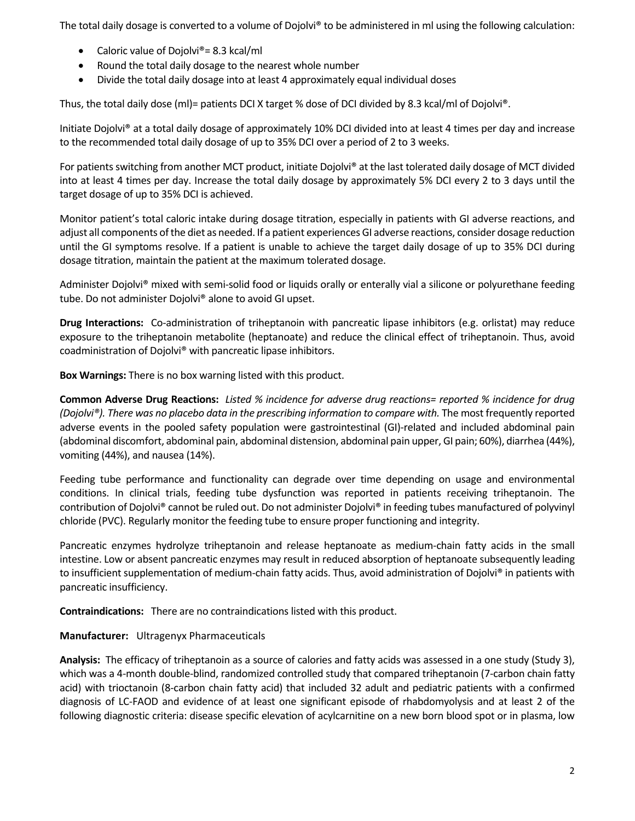The total daily dosage is converted to a volume of Dojolvi® to be administered in ml using the following calculation:

- Caloric value of Dojolvi<sup>®</sup> = 8.3 kcal/ml
- Round the total daily dosage to the nearest whole number
- Divide the total daily dosage into at least 4 approximately equal individual doses

Thus, the total daily dose (ml)= patients DCI X target % dose of DCI divided by 8.3 kcal/ml of Dojolvi®.

Initiate Dojolvi® at a total daily dosage of approximately 10% DCI divided into at least 4 times per day and increase to the recommended total daily dosage of up to 35% DCI over a period of 2 to 3 weeks.

For patients switching from another MCT product, initiate Dojolvi® at the last tolerated daily dosage of MCT divided into at least 4 times per day. Increase the total daily dosage by approximately 5% DCI every 2 to 3 days until the target dosage of up to 35% DCI is achieved.

Monitor patient's total caloric intake during dosage titration, especially in patients with GI adverse reactions, and adjust all components of the diet as needed. If a patient experiences GI adverse reactions, consider dosage reduction until the GI symptoms resolve. If a patient is unable to achieve the target daily dosage of up to 35% DCI during dosage titration, maintain the patient at the maximum tolerated dosage.

Administer Dojolvi® mixed with semi-solid food or liquids orally or enterally vial a silicone or polyurethane feeding tube. Do not administer Dojolvi® alone to avoid GI upset.

**Drug Interactions:** Co-administration of triheptanoin with pancreatic lipase inhibitors (e.g. orlistat) may reduce exposure to the triheptanoin metabolite (heptanoate) and reduce the clinical effect of triheptanoin. Thus, avoid coadministration of Dojolvi® with pancreatic lipase inhibitors.

**Box Warnings:** There is no box warning listed with this product.

Common Adverse Drug Reactions: Listed % incidence for adverse drug reactions= reported % incidence for drug *(Dojolvi®). There was no placebo data in the prescribing information to compare with.* The most frequently reported adverse events in the pooled safety population were gastrointestinal (GI)-related and included abdominal pain (abdominal discomfort, abdominal pain, abdominal distension, abdominal pain upper, GI pain; 60%), diarrhea (44%), vomiting (44%), and nausea (14%).

Feeding tube performance and functionality can degrade over time depending on usage and environmental conditions. In clinical trials, feeding tube dysfunction was reported in patients receiving triheptanoin. The contribution of Dojolvi® cannot be ruled out. Do not administer Dojolvi® in feeding tubes manufactured of polyvinyl chloride (PVC). Regularly monitor the feeding tube to ensure proper functioning and integrity.

Pancreatic enzymes hydrolyze triheptanoin and release heptanoate as medium‐chain fatty acids in the small intestine. Low or absent pancreatic enzymes may result in reduced absorption of heptanoate subsequently leading to insufficient supplementation of medium-chain fatty acids. Thus, avoid administration of Dojolvi® in patients with pancreatic insufficiency.

**Contraindications:** There are no contraindications listed with this product.

**Manufacturer:** Ultragenyx Pharmaceuticals

Analysis: The efficacy of triheptanoin as a source of calories and fatty acids was assessed in a one study (Study 3), which was a 4-month double-blind, randomized controlled study that compared triheptanoin (7-carbon chain fatty acid) with trioctanoin (8‐carbon chain fatty acid) that included 32 adult and pediatric patients with a confirmed diagnosis of LC‐FAOD and evidence of at least one significant episode of rhabdomyolysis and at least 2 of the following diagnostic criteria: disease specific elevation of acylcarnitine on a new born blood spot or in plasma, low